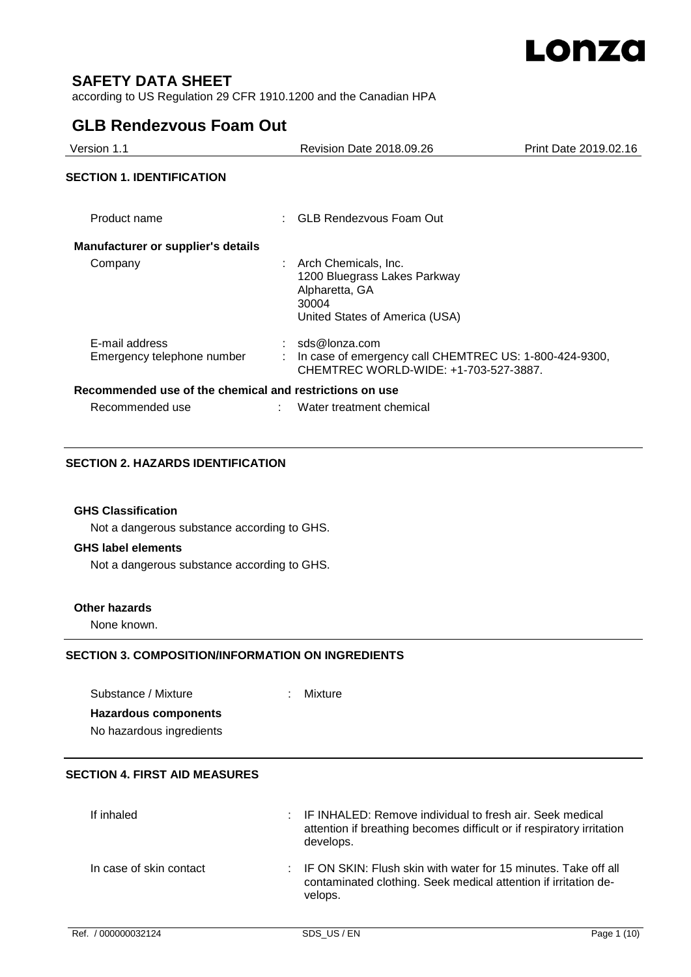

# **SAFETY DATA SHEET**

according to US Regulation 29 CFR 1910.1200 and the Canadian HPA

# **GLB Rendezvous Foam Out**

| Version 1.1                                             | <b>Revision Date 2018.09.26</b><br>Print Date 2019.02.16                                                             |  |  |
|---------------------------------------------------------|----------------------------------------------------------------------------------------------------------------------|--|--|
| <b>SECTION 1. IDENTIFICATION</b>                        |                                                                                                                      |  |  |
| Product name                                            | : GLB Rendezvous Foam Out                                                                                            |  |  |
| <b>Manufacturer or supplier's details</b>               |                                                                                                                      |  |  |
| Company                                                 | Arch Chemicals, Inc.<br>1200 Bluegrass Lakes Parkway<br>Alpharetta, GA<br>30004<br>United States of America (USA)    |  |  |
| E-mail address<br>Emergency telephone number            | $:$ sds@lonza.com<br>In case of emergency call CHEMTREC US: 1-800-424-9300,<br>CHEMTREC WORLD-WIDE: +1-703-527-3887. |  |  |
| Recommended use of the chemical and restrictions on use |                                                                                                                      |  |  |
| Recommended use                                         | Water treatment chemical                                                                                             |  |  |

# **SECTION 2. HAZARDS IDENTIFICATION**

## **GHS Classification**

Not a dangerous substance according to GHS.

# **GHS label elements**

Not a dangerous substance according to GHS.

## **Other hazards**

None known.

# **SECTION 3. COMPOSITION/INFORMATION ON INGREDIENTS**

Substance / Mixture : Mixture : **Hazardous components** No hazardous ingredients

# **SECTION 4. FIRST AID MEASURES**

| If inhaled              | : IF INHALED: Remove individual to fresh air. Seek medical<br>attention if breathing becomes difficult or if respiratory irritation<br>develops. |
|-------------------------|--------------------------------------------------------------------------------------------------------------------------------------------------|
| In case of skin contact | : IF ON SKIN: Flush skin with water for 15 minutes. Take off all<br>contaminated clothing. Seek medical attention if irritation de-<br>velops.   |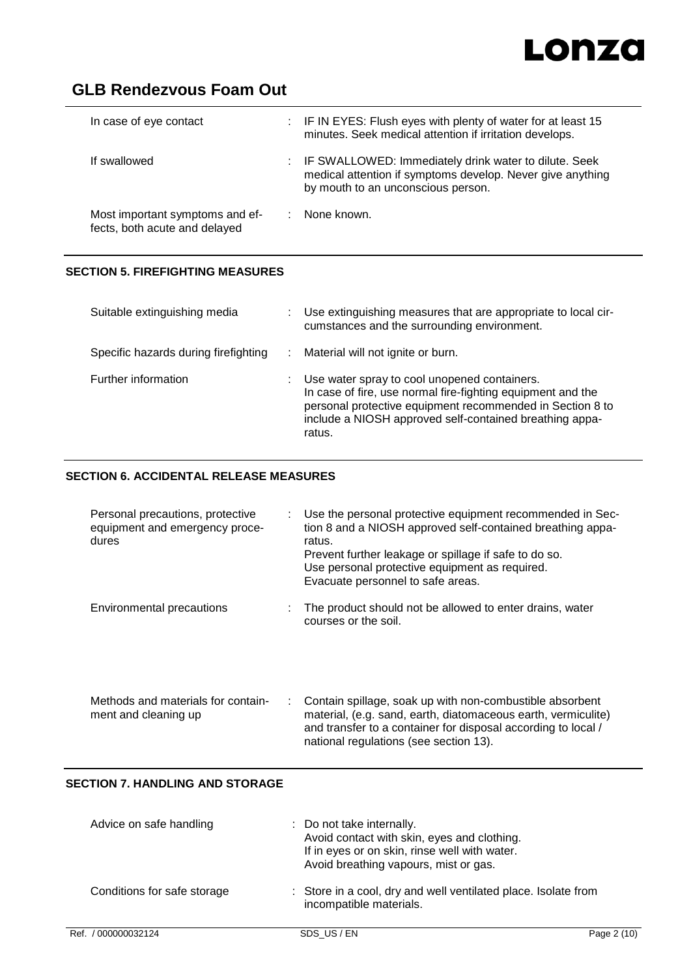# Lonza

# **GLB Rendezvous Foam Out**

| In case of eye contact                                           | : IF IN EYES: Flush eyes with plenty of water for at least 15<br>minutes. Seek medical attention if irritation develops.                                  |
|------------------------------------------------------------------|-----------------------------------------------------------------------------------------------------------------------------------------------------------|
| If swallowed                                                     | IF SWALLOWED: Immediately drink water to dilute. Seek<br>medical attention if symptoms develop. Never give anything<br>by mouth to an unconscious person. |
| Most important symptoms and ef-<br>fects, both acute and delayed | None known.                                                                                                                                               |

# **SECTION 5. FIREFIGHTING MEASURES**

| Suitable extinguishing media         | Use extinguishing measures that are appropriate to local cir-<br>cumstances and the surrounding environment.                                                                                                                                  |
|--------------------------------------|-----------------------------------------------------------------------------------------------------------------------------------------------------------------------------------------------------------------------------------------------|
| Specific hazards during firefighting | Material will not ignite or burn.                                                                                                                                                                                                             |
| Further information                  | Use water spray to cool unopened containers.<br>In case of fire, use normal fire-fighting equipment and the<br>personal protective equipment recommended in Section 8 to<br>include a NIOSH approved self-contained breathing appa-<br>ratus. |

# **SECTION 6. ACCIDENTAL RELEASE MEASURES**

| Personal precautions, protective<br>equipment and emergency proce-<br>dures | Use the personal protective equipment recommended in Sec-<br>tion 8 and a NIOSH approved self-contained breathing appa-<br>ratus.<br>Prevent further leakage or spillage if safe to do so.<br>Use personal protective equipment as required.<br>Evacuate personnel to safe areas. |
|-----------------------------------------------------------------------------|-----------------------------------------------------------------------------------------------------------------------------------------------------------------------------------------------------------------------------------------------------------------------------------|
| Environmental precautions                                                   | The product should not be allowed to enter drains, water<br>courses or the soil.                                                                                                                                                                                                  |
| Methods and materials for contain-<br>ment and cleaning up                  | Contain spillage, soak up with non-combustible absorbent<br>material, (e.g. sand, earth, diatomaceous earth, vermiculite)<br>and transfer to a container for disposal according to local /<br>national regulations (see section 13).                                              |
| <b>SECTION 7. HANDLING AND STORAGE</b>                                      |                                                                                                                                                                                                                                                                                   |
| Advice on safe handling                                                     | : Do not take internally.<br>Avoid contact with skin, eyes and clothing.<br>If in eyes or on skin, rinse well with water.                                                                                                                                                         |

Avoid breathing vapours, mist or gas.

Conditions for safe storage : Store in a cool, dry and well ventilated place. Isolate from incompatible materials.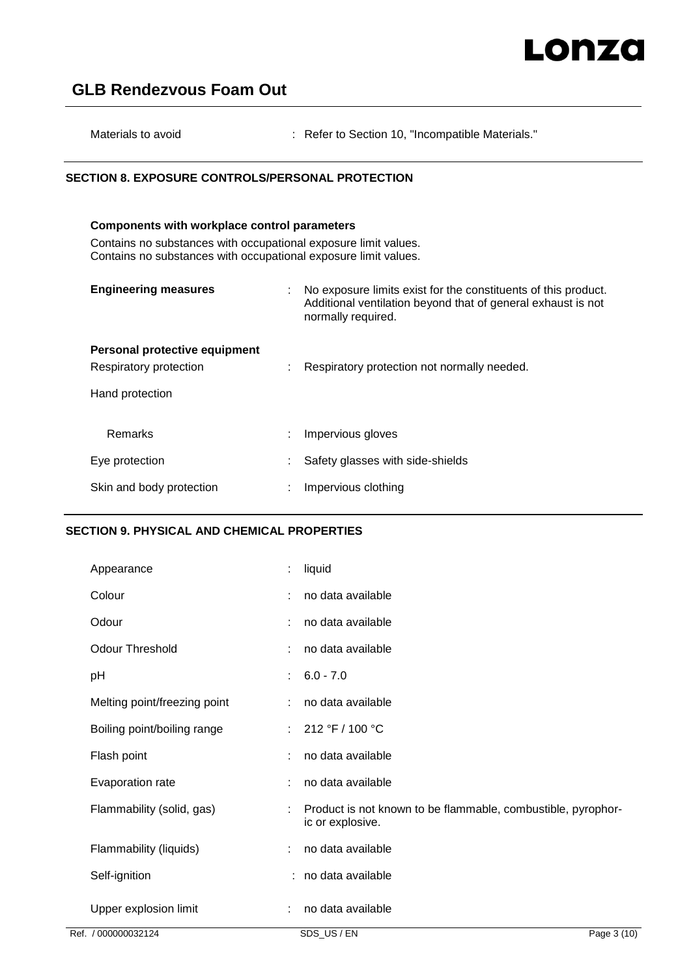| Materials to avoid |  | : Refer to Section 10, "Incompatible Materials." |
|--------------------|--|--------------------------------------------------|
|--------------------|--|--------------------------------------------------|

# **SECTION 8. EXPOSURE CONTROLS/PERSONAL PROTECTION**

# **Components with workplace control parameters** Contains no substances with occupational exposure limit values. Contains no substances with occupational exposure limit values. **Engineering measures** : No exposure limits exist for the constituents of this product. Additional ventilation beyond that of general exhaust is not normally required. **Personal protective equipment** Respiratory protection : Respiratory protection not normally needed.

Hand protection

| Remarks                  | Impervious gloves                  |
|--------------------------|------------------------------------|
| Eye protection           | : Safety glasses with side-shields |
| Skin and body protection | Impervious clothing                |

# **SECTION 9. PHYSICAL AND CHEMICAL PROPERTIES**

| Appearance                   | ÷  | liquid                                                                           |
|------------------------------|----|----------------------------------------------------------------------------------|
| Colour                       | ÷  | no data available                                                                |
| Odour                        | ÷  | no data available                                                                |
| <b>Odour Threshold</b>       | ÷  | no data available                                                                |
| рH                           | ÷  | $6.0 - 7.0$                                                                      |
| Melting point/freezing point |    | no data available                                                                |
| Boiling point/boiling range  | ÷. | 212 °F / 100 °C                                                                  |
| Flash point                  | ÷  | no data available                                                                |
| Evaporation rate             | ÷  | no data available                                                                |
| Flammability (solid, gas)    |    | Product is not known to be flammable, combustible, pyrophor-<br>ic or explosive. |
| Flammability (liquids)       |    | no data available                                                                |
| Self-ignition                |    | : no data available                                                              |
| Upper explosion limit        |    | no data available                                                                |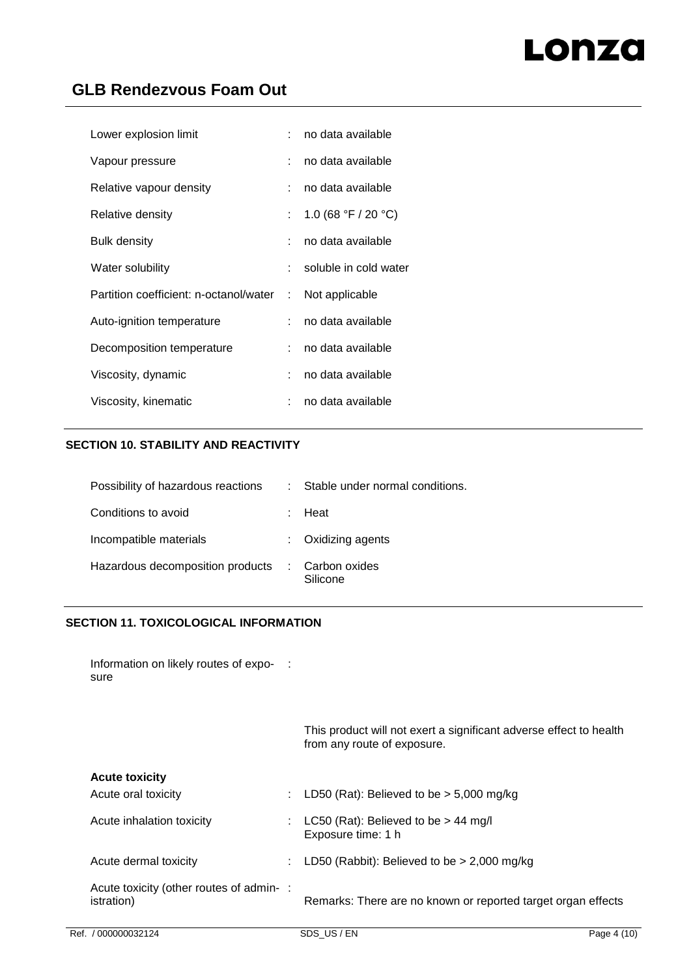| Lower explosion limit                    | t in | no data available     |
|------------------------------------------|------|-----------------------|
| Vapour pressure                          |      | no data available     |
| Relative vapour density                  | t.   | no data available     |
| Relative density                         | t.   | 1.0 (68 °F / 20 °C)   |
| Bulk density                             |      | no data available     |
| Water solubility                         | t.   | soluble in cold water |
| Partition coefficient: n-octanol/water : |      | Not applicable        |
| Auto-ignition temperature                | t.   | no data available     |
| Decomposition temperature                | t.   | no data available     |
| Viscosity, dynamic                       | t.   | no data available     |
| Viscosity, kinematic                     |      | no data available     |

# **SECTION 10. STABILITY AND REACTIVITY**

| Possibility of hazardous reactions | Stable under normal conditions. |
|------------------------------------|---------------------------------|
| Conditions to avoid                | Heat                            |
| Incompatible materials             | Oxidizing agents                |
| Hazardous decomposition products   | Carbon oxides<br>Silicone       |

# **SECTION 11. TOXICOLOGICAL INFORMATION**

Information on likely routes of expo- : sure

> This product will not exert a significant adverse effect to health from any route of exposure.

# **Acute toxicity**

| 1199191911911                                         |                                                              |
|-------------------------------------------------------|--------------------------------------------------------------|
| Acute oral toxicity                                   | : LD50 (Rat): Believed to be $>$ 5,000 mg/kg                 |
| Acute inhalation toxicity                             | LC50 (Rat): Believed to be $> 44$ mg/l<br>Exposure time: 1 h |
| Acute dermal toxicity                                 | LD50 (Rabbit): Believed to be $> 2,000$ mg/kg                |
| Acute toxicity (other routes of admin-:<br>istration) | Remarks: There are no known or reported target organ effects |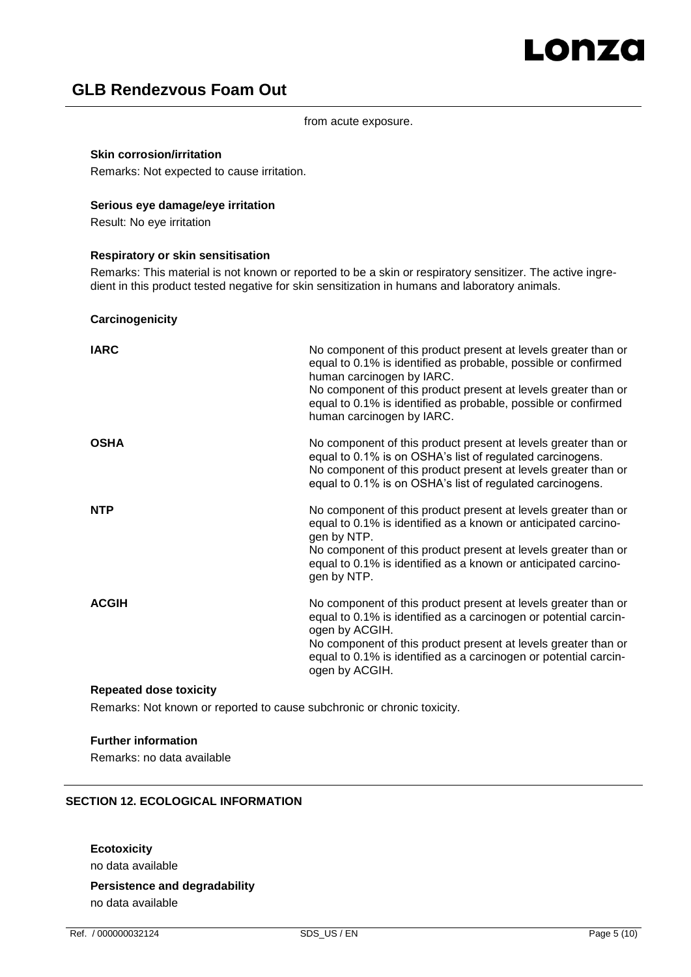from acute exposure.

### **Skin corrosion/irritation**

Remarks: Not expected to cause irritation.

### **Serious eye damage/eye irritation**

Result: No eye irritation

## **Respiratory or skin sensitisation**

Remarks: This material is not known or reported to be a skin or respiratory sensitizer. The active ingredient in this product tested negative for skin sensitization in humans and laboratory animals.

### **Carcinogenicity**

| <b>IARC</b>  | No component of this product present at levels greater than or<br>equal to 0.1% is identified as probable, possible or confirmed<br>human carcinogen by IARC.<br>No component of this product present at levels greater than or<br>equal to 0.1% is identified as probable, possible or confirmed<br>human carcinogen by IARC. |
|--------------|--------------------------------------------------------------------------------------------------------------------------------------------------------------------------------------------------------------------------------------------------------------------------------------------------------------------------------|
| <b>OSHA</b>  | No component of this product present at levels greater than or<br>equal to 0.1% is on OSHA's list of regulated carcinogens.<br>No component of this product present at levels greater than or<br>equal to 0.1% is on OSHA's list of regulated carcinogens.                                                                     |
| <b>NTP</b>   | No component of this product present at levels greater than or<br>equal to 0.1% is identified as a known or anticipated carcino-<br>gen by NTP.<br>No component of this product present at levels greater than or<br>equal to 0.1% is identified as a known or anticipated carcino-<br>gen by NTP.                             |
| <b>ACGIH</b> | No component of this product present at levels greater than or<br>equal to 0.1% is identified as a carcinogen or potential carcin-<br>ogen by ACGIH.<br>No component of this product present at levels greater than or<br>equal to 0.1% is identified as a carcinogen or potential carcin-<br>ogen by ACGIH.                   |

## **Repeated dose toxicity**

Remarks: Not known or reported to cause subchronic or chronic toxicity.

### **Further information**

Remarks: no data available

# **SECTION 12. ECOLOGICAL INFORMATION**

## **Ecotoxicity**

no data available

# **Persistence and degradability**

no data available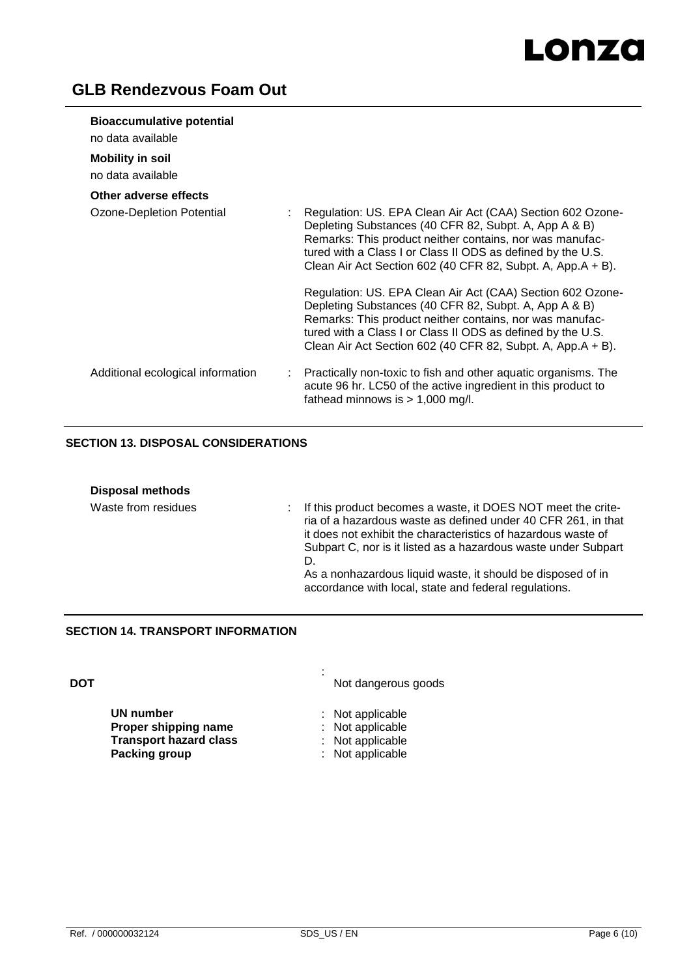# Lonza

# **GLB Rendezvous Foam Out**

| <b>Bioaccumulative potential</b><br>no data available |                                                                                                                                                                                                                                                                                                               |
|-------------------------------------------------------|---------------------------------------------------------------------------------------------------------------------------------------------------------------------------------------------------------------------------------------------------------------------------------------------------------------|
| <b>Mobility in soil</b><br>no data available          |                                                                                                                                                                                                                                                                                                               |
| Other adverse effects                                 |                                                                                                                                                                                                                                                                                                               |
| Ozone-Depletion Potential                             | Regulation: US. EPA Clean Air Act (CAA) Section 602 Ozone-<br>Depleting Substances (40 CFR 82, Subpt. A, App A & B)<br>Remarks: This product neither contains, nor was manufac-<br>tured with a Class I or Class II ODS as defined by the U.S.<br>Clean Air Act Section 602 (40 CFR 82, Subpt. A, App.A + B). |
|                                                       | Regulation: US. EPA Clean Air Act (CAA) Section 602 Ozone-<br>Depleting Substances (40 CFR 82, Subpt. A, App A & B)<br>Remarks: This product neither contains, nor was manufac-<br>tured with a Class I or Class II ODS as defined by the U.S.<br>Clean Air Act Section 602 (40 CFR 82, Subpt. A, App.A + B). |
| Additional ecological information                     | Practically non-toxic to fish and other aquatic organisms. The<br>÷.<br>acute 96 hr. LC50 of the active ingredient in this product to<br>fathead minnows is $> 1,000$ mg/l.                                                                                                                                   |

# **SECTION 13. DISPOSAL CONSIDERATIONS**

| <b>Disposal methods</b> |                                                                                                                                                                                                                                                                                                                                                                                                      |
|-------------------------|------------------------------------------------------------------------------------------------------------------------------------------------------------------------------------------------------------------------------------------------------------------------------------------------------------------------------------------------------------------------------------------------------|
| Waste from residues     | If this product becomes a waste, it DOES NOT meet the crite-<br>t.<br>ria of a hazardous waste as defined under 40 CFR 261, in that<br>it does not exhibit the characteristics of hazardous waste of<br>Subpart C, nor is it listed as a hazardous waste under Subpart<br>D.<br>As a nonhazardous liquid waste, it should be disposed of in<br>accordance with local, state and federal regulations. |

# **SECTION 14. TRANSPORT INFORMATION**

| DOT |                               | ٠ | Not dangerous goods |
|-----|-------------------------------|---|---------------------|
|     | UN number                     |   | $:$ Not applicable  |
|     | Proper shipping name          |   | : Not applicable    |
|     | <b>Transport hazard class</b> |   | : Not applicable    |
|     | <b>Packing group</b>          |   | : Not applicable    |
|     |                               |   |                     |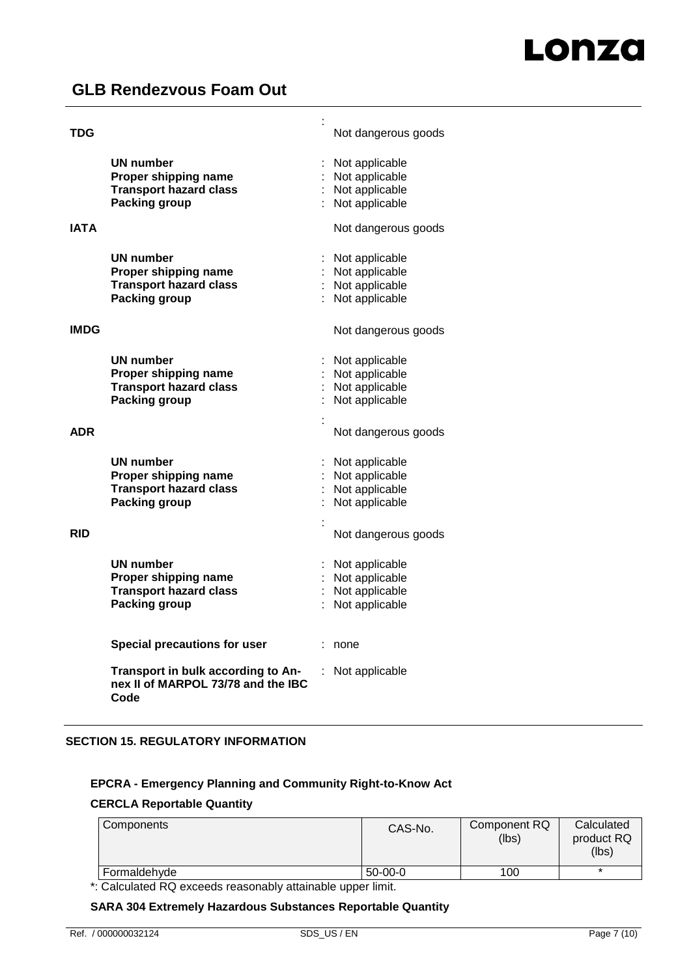| TDG         |                                                                                                   | t | Not dangerous goods                                                  |
|-------------|---------------------------------------------------------------------------------------------------|---|----------------------------------------------------------------------|
|             | UN number<br>Proper shipping name<br><b>Transport hazard class</b><br>Packing group               |   | Not applicable<br>Not applicable<br>Not applicable<br>Not applicable |
| <b>IATA</b> |                                                                                                   |   | Not dangerous goods                                                  |
|             | <b>UN number</b><br>Proper shipping name<br><b>Transport hazard class</b><br><b>Packing group</b> |   | Not applicable<br>Not applicable<br>Not applicable<br>Not applicable |
| <b>IMDG</b> |                                                                                                   |   | Not dangerous goods                                                  |
|             | UN number<br>Proper shipping name<br><b>Transport hazard class</b><br>Packing group               |   | Not applicable<br>Not applicable<br>Not applicable<br>Not applicable |
| <b>ADR</b>  |                                                                                                   |   | Not dangerous goods                                                  |
|             | UN number<br>Proper shipping name<br><b>Transport hazard class</b><br>Packing group               |   | Not applicable<br>Not applicable<br>Not applicable<br>Not applicable |
| <b>RID</b>  |                                                                                                   |   | Not dangerous goods                                                  |
|             | <b>UN number</b><br>Proper shipping name<br><b>Transport hazard class</b><br><b>Packing group</b> |   | Not applicable<br>Not applicable<br>Not applicable<br>Not applicable |
|             | <b>Special precautions for user</b>                                                               |   | none                                                                 |
|             | Transport in bulk according to An-<br>nex II of MARPOL 73/78 and the IBC<br>Code                  |   | Not applicable                                                       |

# **SECTION 15. REGULATORY INFORMATION**

# **EPCRA - Emergency Planning and Community Right-to-Know Act**

## **CERCLA Reportable Quantity**

| Components   | CAS-No.   | Component RQ<br>(lbs) | Calculated<br>product RQ<br>(lbs) |
|--------------|-----------|-----------------------|-----------------------------------|
| Formaldehyde | $50-00-0$ | 100                   |                                   |
|              |           |                       |                                   |

\*: Calculated RQ exceeds reasonably attainable upper limit.

## **SARA 304 Extremely Hazardous Substances Reportable Quantity**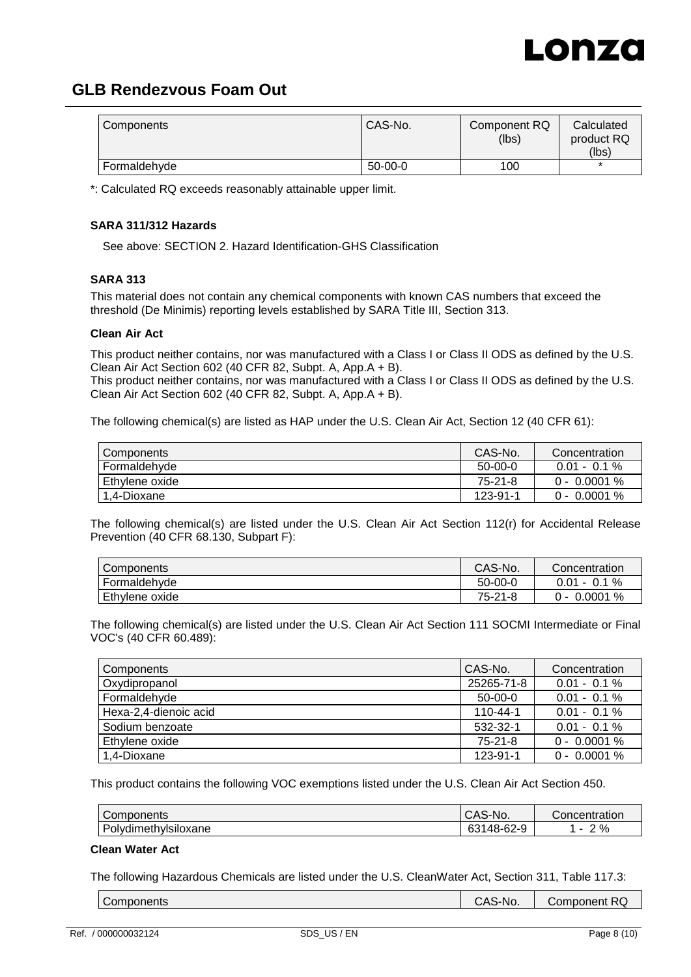

| Components   | CAS-No.   | Component RQ<br>(lbs) | Calculated<br>product RQ |
|--------------|-----------|-----------------------|--------------------------|
|              |           |                       | (lbs)                    |
| Formaldehyde | $50-00-0$ | 100                   |                          |

\*: Calculated RQ exceeds reasonably attainable upper limit.

## **SARA 311/312 Hazards**

See above: SECTION 2. Hazard Identification-GHS Classification

## **SARA 313**

This material does not contain any chemical components with known CAS numbers that exceed the threshold (De Minimis) reporting levels established by SARA Title III, Section 313.

### **Clean Air Act**

This product neither contains, nor was manufactured with a Class I or Class II ODS as defined by the U.S. Clean Air Act Section 602 (40 CFR 82, Subpt. A, App.A + B).

This product neither contains, nor was manufactured with a Class I or Class II ODS as defined by the U.S. Clean Air Act Section 602 (40 CFR 82, Subpt. A, App.A + B).

The following chemical(s) are listed as HAP under the U.S. Clean Air Act, Section 12 (40 CFR 61):

| Components       | CAS-No.   | Concentration   |
|------------------|-----------|-----------------|
| Formaldehyde     | $50-00-0$ | $0.01 - 0.1 \%$ |
| l Ethvlene oxide | 75-21-8   | $0 - 0.0001 \%$ |
| 1.4-Dioxane      | 123-91-1  | $0 - 0.0001 \%$ |

The following chemical(s) are listed under the U.S. Clean Air Act Section 112(r) for Accidental Release Prevention (40 CFR 68.130, Subpart F):

| <b>Components</b> | CAS-No. | Concentration  |
|-------------------|---------|----------------|
| Formaldehyde      | 50-00-0 | $0.01 - 0.1 %$ |
| Ethylene oxide    | 75-21-8 | $0 - 0.0001 %$ |

The following chemical(s) are listed under the U.S. Clean Air Act Section 111 SOCMI Intermediate or Final VOC's (40 CFR 60.489):

| Components            | CAS-No.        | Concentration   |
|-----------------------|----------------|-----------------|
| Oxydipropanol         | 25265-71-8     | $0.01 - 0.1 \%$ |
| Formaldehvde          | $50-00-0$      | $0.01 - 0.1 \%$ |
| Hexa-2,4-dienoic acid | $110 - 44 - 1$ | $0.01 - 0.1 \%$ |
| Sodium benzoate       | 532-32-1       | $0.01 - 0.1 \%$ |
| Ethylene oxide        | 75-21-8        | $0 - 0.0001 %$  |
| 1.4-Dioxane           | 123-91-1       | $0 - 0.0001 %$  |

This product contains the following VOC exemptions listed under the U.S. Clean Air Act Section 450.

| Components           | CAS-No.              | Concentration |
|----------------------|----------------------|---------------|
| Polydimethylsiloxane | 148-62-9<br>c.<br>υσ | 2%            |

### **Clean Water Act**

The following Hazardous Chemicals are listed under the U.S. CleanWater Act, Section 311, Table 117.3:

| Components | CAS-No. | Component RQ |
|------------|---------|--------------|
|            |         |              |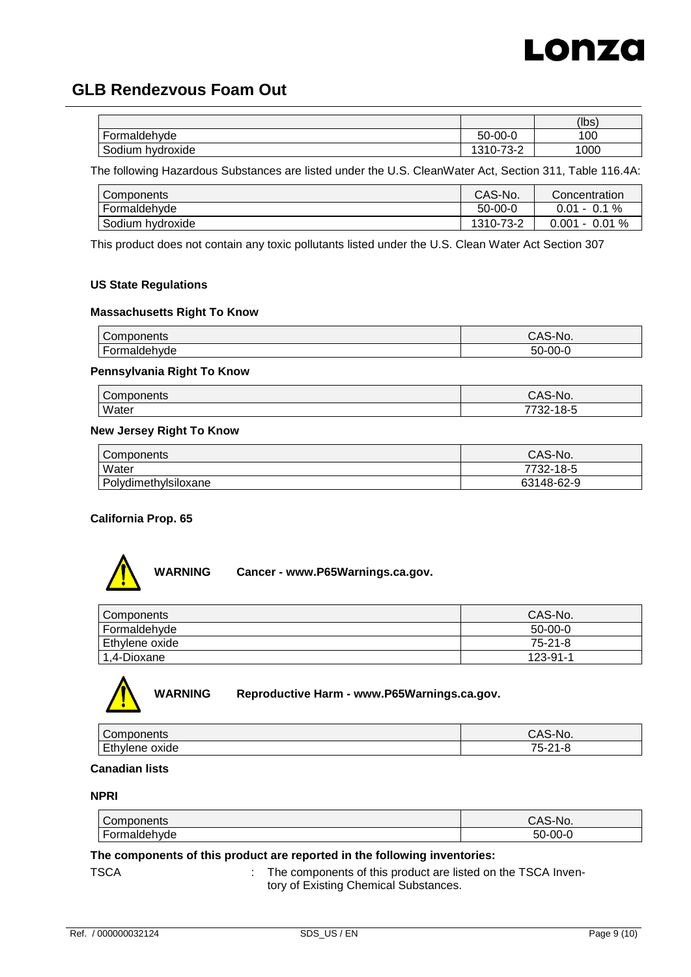

|                                          |                                             | (lbs) |
|------------------------------------------|---------------------------------------------|-------|
| $\overline{\phantom{a}}$<br>Formaldehvde | $50 - 00 - 0$                               | 100   |
| ⌒<br>hvdroxide<br>Sodium                 | <u>ສາດ ລ</u><br>1010<br>ے-ت∵<br>د<br>. U= 1 | 1000  |

The following Hazardous Substances are listed under the U.S. CleanWater Act, Section 311, Table 116.4A:

| Components       | CAS-No.       | Concentration           |
|------------------|---------------|-------------------------|
| Formaldehyde     | $50 - 00 - 0$ | $0.01 - 0.1 \%$         |
| Sodium hydroxide | 1310-73-2     | $0.01\ \%$<br>$0.001 -$ |

This product does not contain any toxic pollutants listed under the U.S. Clean Water Act Section 307

# **US State Regulations**

### **Massachusetts Right To Know**

| `omnononto<br>ponents      | $\Lambda$ $\sim$<br>`S-No.<br>◡ |
|----------------------------|---------------------------------|
| $\sim$<br>ıvde<br>.<br>ונו | гn<br>ne.<br>-יור<br><br>- -    |

### **Pennsylvania Right To Know**

| `omr<br>unenis | No.                         |
|----------------|-----------------------------|
| Water          | -<br>. O-1<br>--<br>JZ<br>ັ |

### **New Jersey Right To Know**

| Components           | CAS-No.    |
|----------------------|------------|
| Water                | 7732-18-5  |
| Polydimethylsiloxane | 63148-62-9 |

## **California Prop. 65**



| <b>Components</b> | CAS-No.       |
|-------------------|---------------|
| Formaldehyde      | $50-00-0$     |
| Ethylene oxide    | $75 - 21 - 8$ |
| 1,4-Dioxane       | 123-91-1      |



**WARNING Reproductive Harm - www.P65Warnings.ca.gov.**

| $\sqrt{C}$<br>טווסו      | $\overline{\phantom{0}}$<br>v.<br>ັ |
|--------------------------|-------------------------------------|
| E+L<br>.<br>oxige<br>$-$ | 75.<br>ົດມ<br>-                     |

### **Canadian lists**

### **NPRI**

| Components                               | CAS-No.       |
|------------------------------------------|---------------|
| $\overline{\phantom{0}}$<br>Formaldehyde | $50 - 00 - 0$ |

### **The components of this product are reported in the following inventories:**

TSCA **: The components of this product are listed on the TSCA Inven**tory of Existing Chemical Substances.